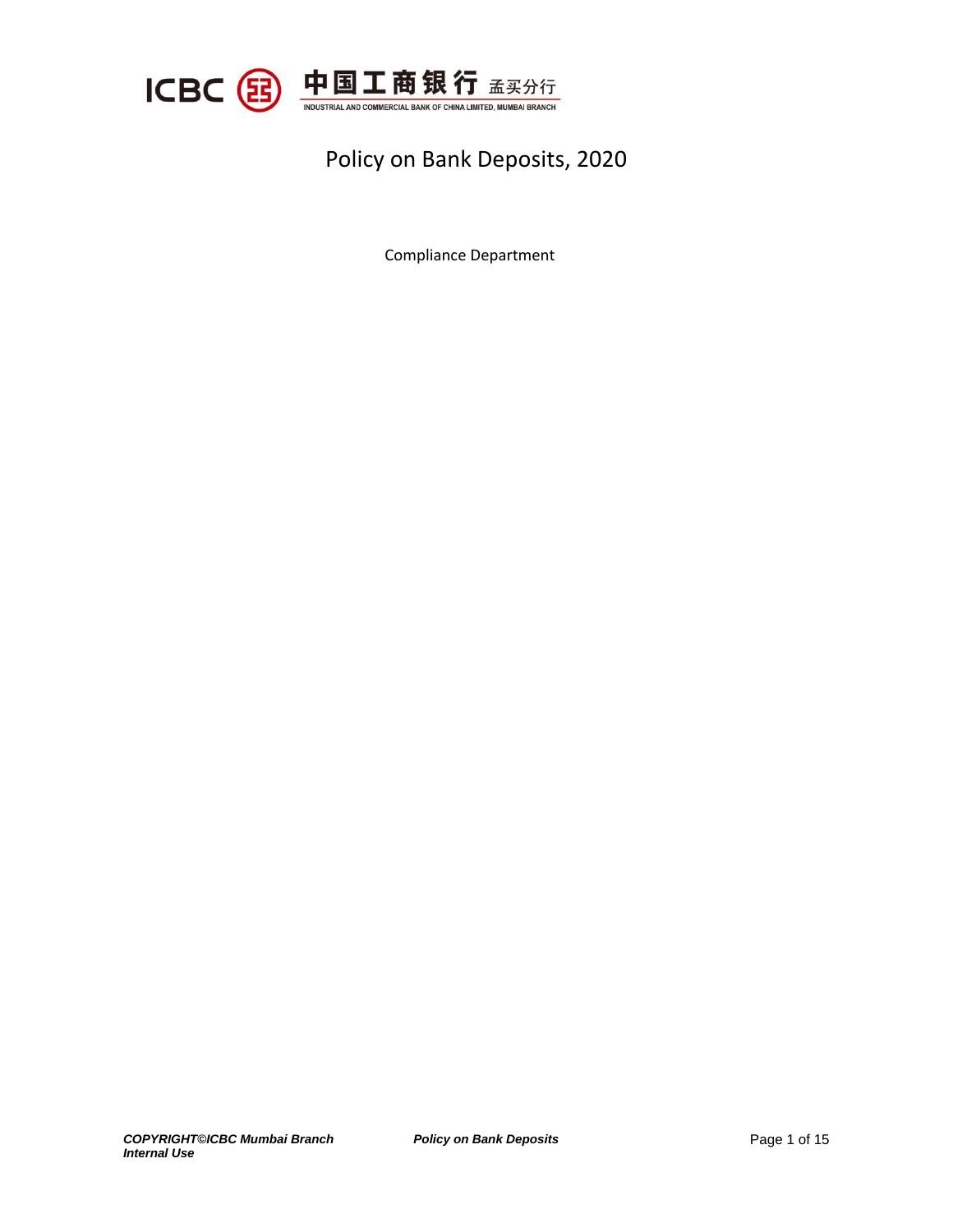

# Policy on Bank Deposits, 2020

Compliance Department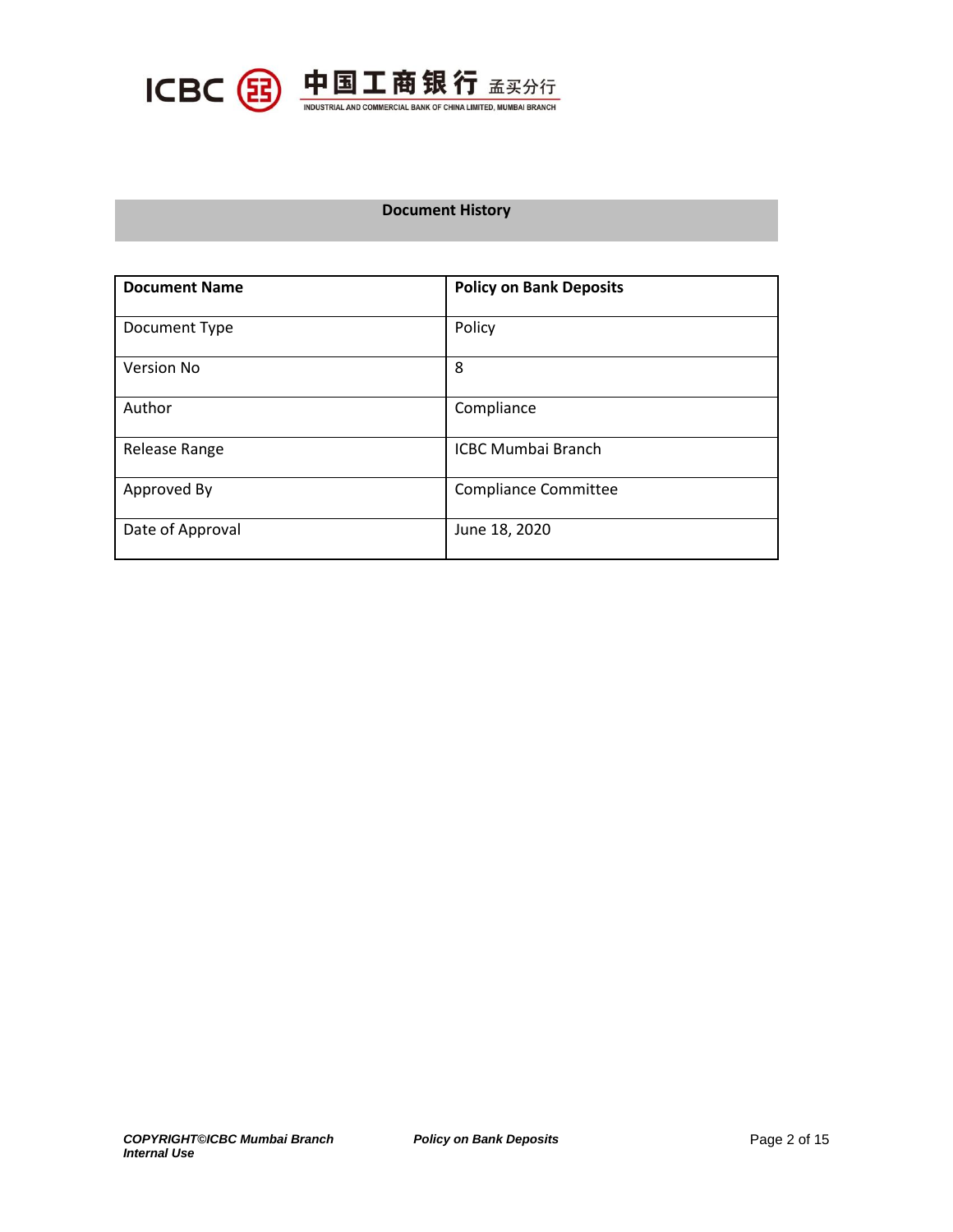

# **Document History**

| <b>Document Name</b> | <b>Policy on Bank Deposits</b> |  |
|----------------------|--------------------------------|--|
| Document Type        | Policy                         |  |
| Version No           | 8                              |  |
| Author               | Compliance                     |  |
| Release Range        | <b>ICBC Mumbai Branch</b>      |  |
| Approved By          | <b>Compliance Committee</b>    |  |
| Date of Approval     | June 18, 2020                  |  |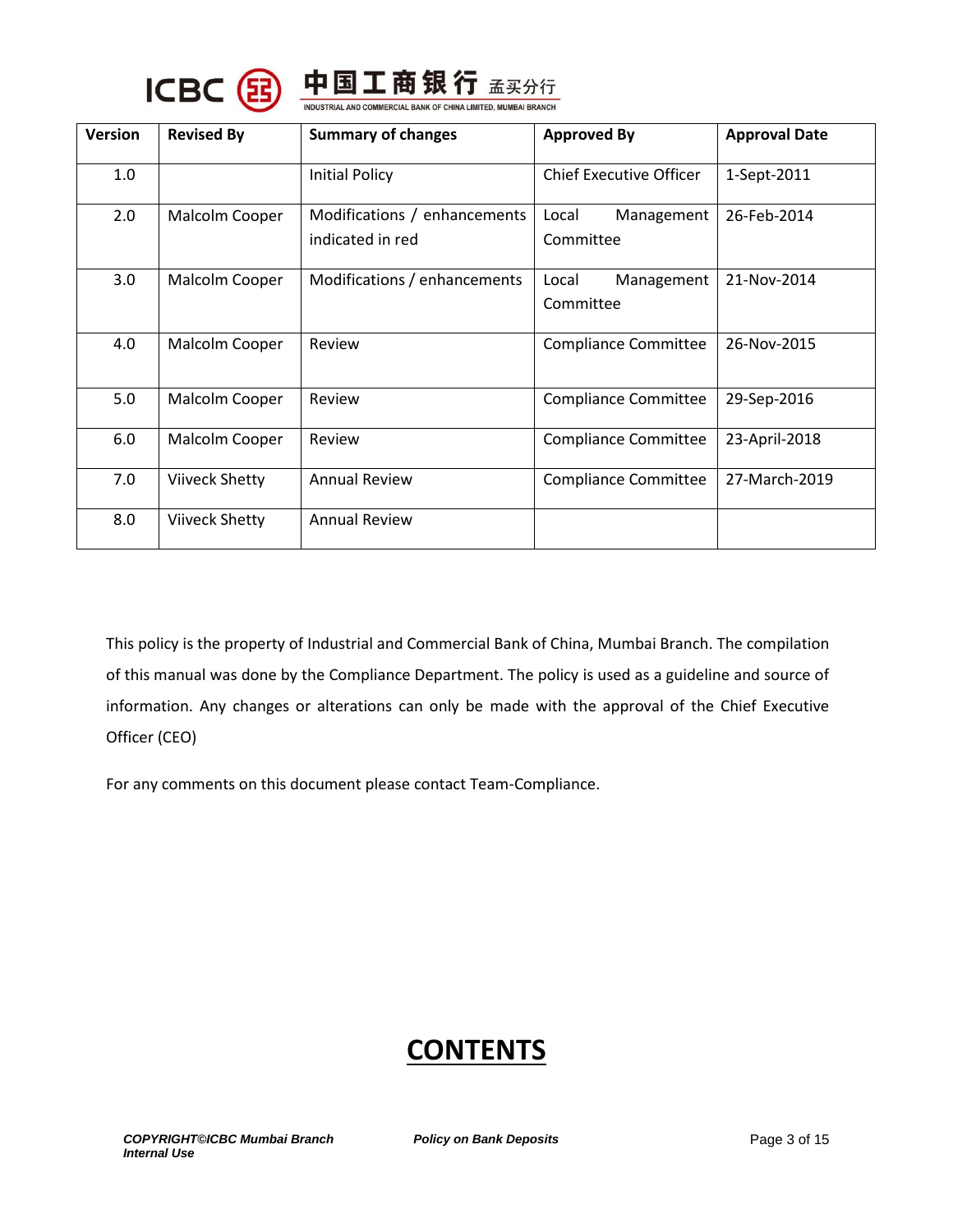



| <b>Version</b> | <b>Revised By</b>     | <b>Summary of changes</b>                        | <b>Approved By</b>               | <b>Approval Date</b> |
|----------------|-----------------------|--------------------------------------------------|----------------------------------|----------------------|
| 1.0            |                       | <b>Initial Policy</b>                            | <b>Chief Executive Officer</b>   | 1-Sept-2011          |
| 2.0            | Malcolm Cooper        | Modifications / enhancements<br>indicated in red | Local<br>Management<br>Committee | 26-Feb-2014          |
| 3.0            | Malcolm Cooper        | Modifications / enhancements                     | Management<br>Local<br>Committee | 21-Nov-2014          |
| 4.0            | Malcolm Cooper        | Review                                           | <b>Compliance Committee</b>      | 26-Nov-2015          |
| 5.0            | Malcolm Cooper        | Review                                           | <b>Compliance Committee</b>      | 29-Sep-2016          |
| 6.0            | Malcolm Cooper        | Review                                           | <b>Compliance Committee</b>      | 23-April-2018        |
| 7.0            | <b>Viiveck Shetty</b> | <b>Annual Review</b>                             | <b>Compliance Committee</b>      | 27-March-2019        |
| 8.0            | <b>Viiveck Shetty</b> | <b>Annual Review</b>                             |                                  |                      |

This policy is the property of Industrial and Commercial Bank of China, Mumbai Branch. The compilation of this manual was done by the Compliance Department. The policy is used as a guideline and source of information. Any changes or alterations can only be made with the approval of the Chief Executive Officer (CEO)

For any comments on this document please contact Team-Compliance.

# **CONTENTS**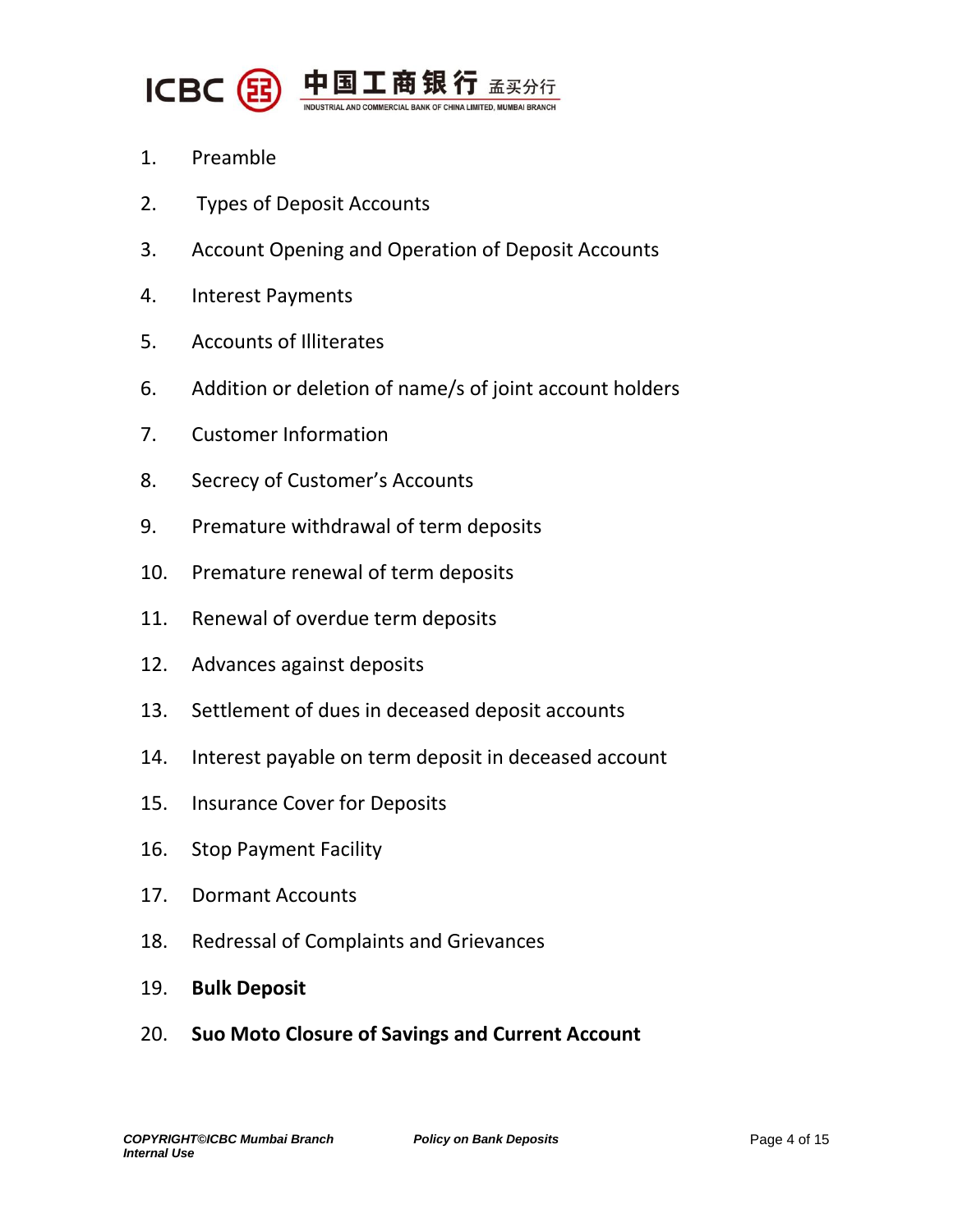

- 1. Preamble
- 2. Types of Deposit Accounts
- 3. Account Opening and Operation of Deposit Accounts
- 4. Interest Payments
- 5. Accounts of Illiterates
- 6. Addition or deletion of name/s of joint account holders
- 7. Customer Information
- 8. Secrecy of Customer's Accounts
- 9. Premature withdrawal of term deposits
- 10. Premature renewal of term deposits
- 11. Renewal of overdue term deposits
- 12. Advances against deposits
- 13. Settlement of dues in deceased deposit accounts
- 14. Interest payable on term deposit in deceased account
- 15. Insurance Cover for Deposits
- 16. Stop Payment Facility
- 17. Dormant Accounts
- 18. Redressal of Complaints and Grievances
- 19. **Bulk Deposit**
- 20. **Suo Moto Closure of Savings and Current Account**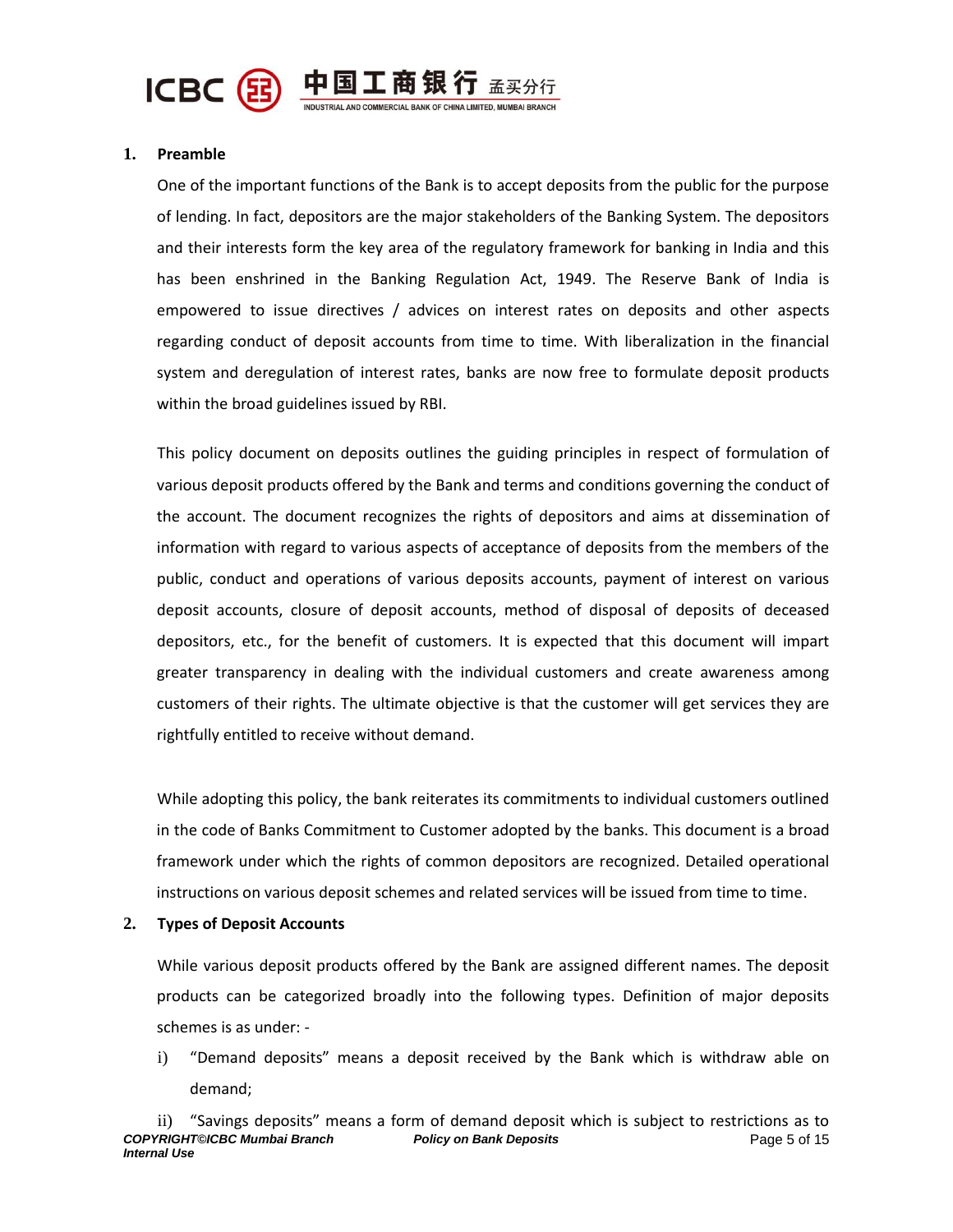

# **1. Preamble**

One of the important functions of the Bank is to accept deposits from the public for the purpose of lending. In fact, depositors are the major stakeholders of the Banking System. The depositors and their interests form the key area of the regulatory framework for banking in India and this has been enshrined in the Banking Regulation Act, 1949. The Reserve Bank of India is empowered to issue directives / advices on interest rates on deposits and other aspects regarding conduct of deposit accounts from time to time. With liberalization in the financial system and deregulation of interest rates, banks are now free to formulate deposit products within the broad guidelines issued by RBI.

This policy document on deposits outlines the guiding principles in respect of formulation of various deposit products offered by the Bank and terms and conditions governing the conduct of the account. The document recognizes the rights of depositors and aims at dissemination of information with regard to various aspects of acceptance of deposits from the members of the public, conduct and operations of various deposits accounts, payment of interest on various deposit accounts, closure of deposit accounts, method of disposal of deposits of deceased depositors, etc., for the benefit of customers. It is expected that this document will impart greater transparency in dealing with the individual customers and create awareness among customers of their rights. The ultimate objective is that the customer will get services they are rightfully entitled to receive without demand.

While adopting this policy, the bank reiterates its commitments to individual customers outlined in the code of Banks Commitment to Customer adopted by the banks. This document is a broad framework under which the rights of common depositors are recognized. Detailed operational instructions on various deposit schemes and related services will be issued from time to time.

#### **2. Types of Deposit Accounts**

While various deposit products offered by the Bank are assigned different names. The deposit products can be categorized broadly into the following types. Definition of major deposits schemes is as under: -

i) "Demand deposits" means a deposit received by the Bank which is withdraw able on demand;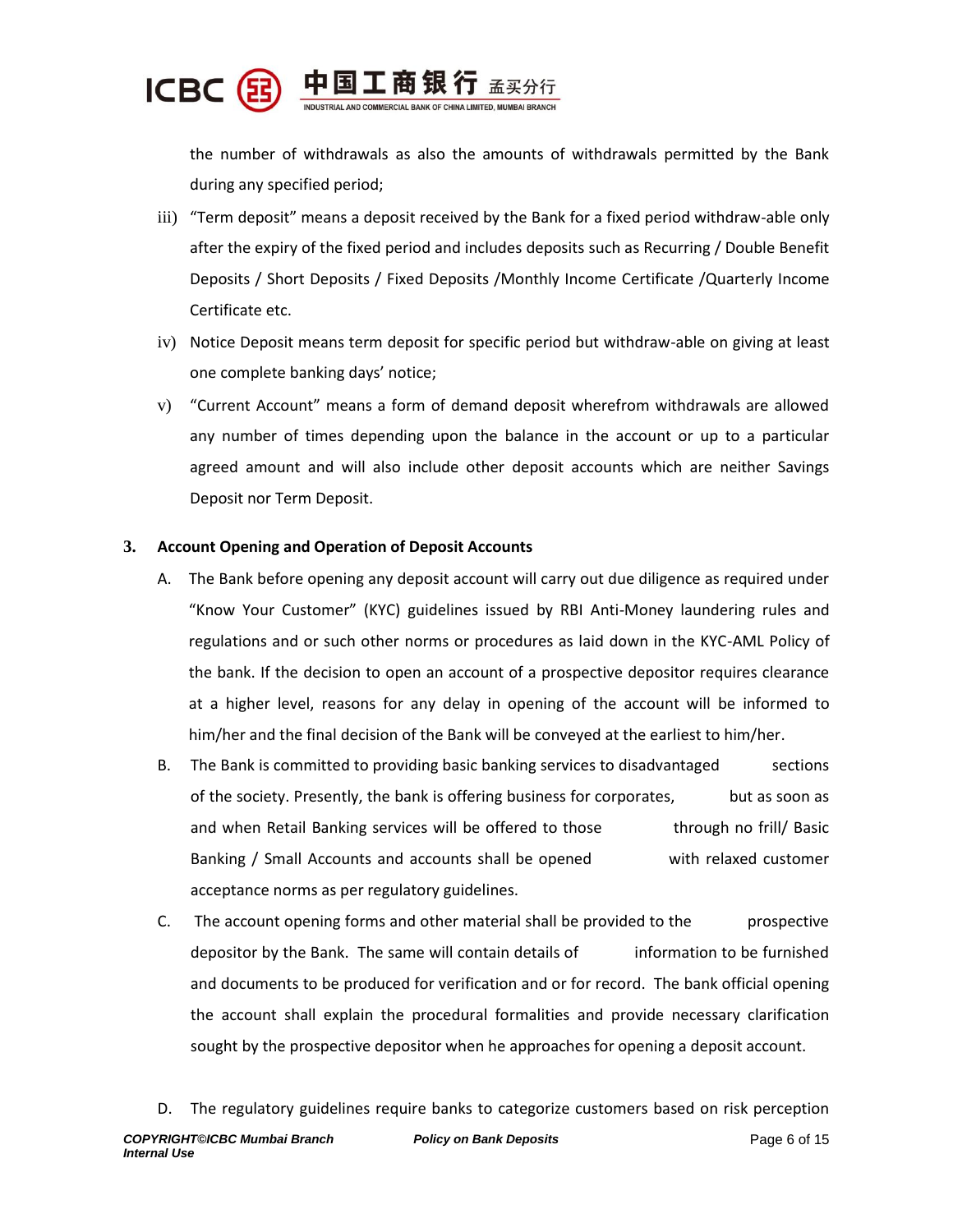

the number of withdrawals as also the amounts of withdrawals permitted by the Bank during any specified period;

- iii) "Term deposit" means a deposit received by the Bank for a fixed period withdraw-able only after the expiry of the fixed period and includes deposits such as Recurring / Double Benefit Deposits / Short Deposits / Fixed Deposits /Monthly Income Certificate /Quarterly Income Certificate etc.
- iv) Notice Deposit means term deposit for specific period but withdraw-able on giving at least one complete banking days' notice;
- v) "Current Account" means a form of demand deposit wherefrom withdrawals are allowed any number of times depending upon the balance in the account or up to a particular agreed amount and will also include other deposit accounts which are neither Savings Deposit nor Term Deposit.

# **3. Account Opening and Operation of Deposit Accounts**

- A. The Bank before opening any deposit account will carry out due diligence as required under "Know Your Customer" (KYC) guidelines issued by RBI Anti-Money laundering rules and regulations and or such other norms or procedures as laid down in the KYC-AML Policy of the bank. If the decision to open an account of a prospective depositor requires clearance at a higher level, reasons for any delay in opening of the account will be informed to him/her and the final decision of the Bank will be conveyed at the earliest to him/her.
- B. The Bank is committed to providing basic banking services to disadvantaged sections of the society. Presently, the bank is offering business for corporates, but as soon as and when Retail Banking services will be offered to those through no frill/ Basic Banking / Small Accounts and accounts shall be opened with relaxed customer acceptance norms as per regulatory guidelines.
- C. The account opening forms and other material shall be provided to the prospective depositor by the Bank. The same will contain details of information to be furnished and documents to be produced for verification and or for record. The bank official opening the account shall explain the procedural formalities and provide necessary clarification sought by the prospective depositor when he approaches for opening a deposit account.

*COPYRIGHT©ICBC Mumbai Branch Policy on Bank Deposits Internal Use* Page 6 of 15 D. The regulatory guidelines require banks to categorize customers based on risk perception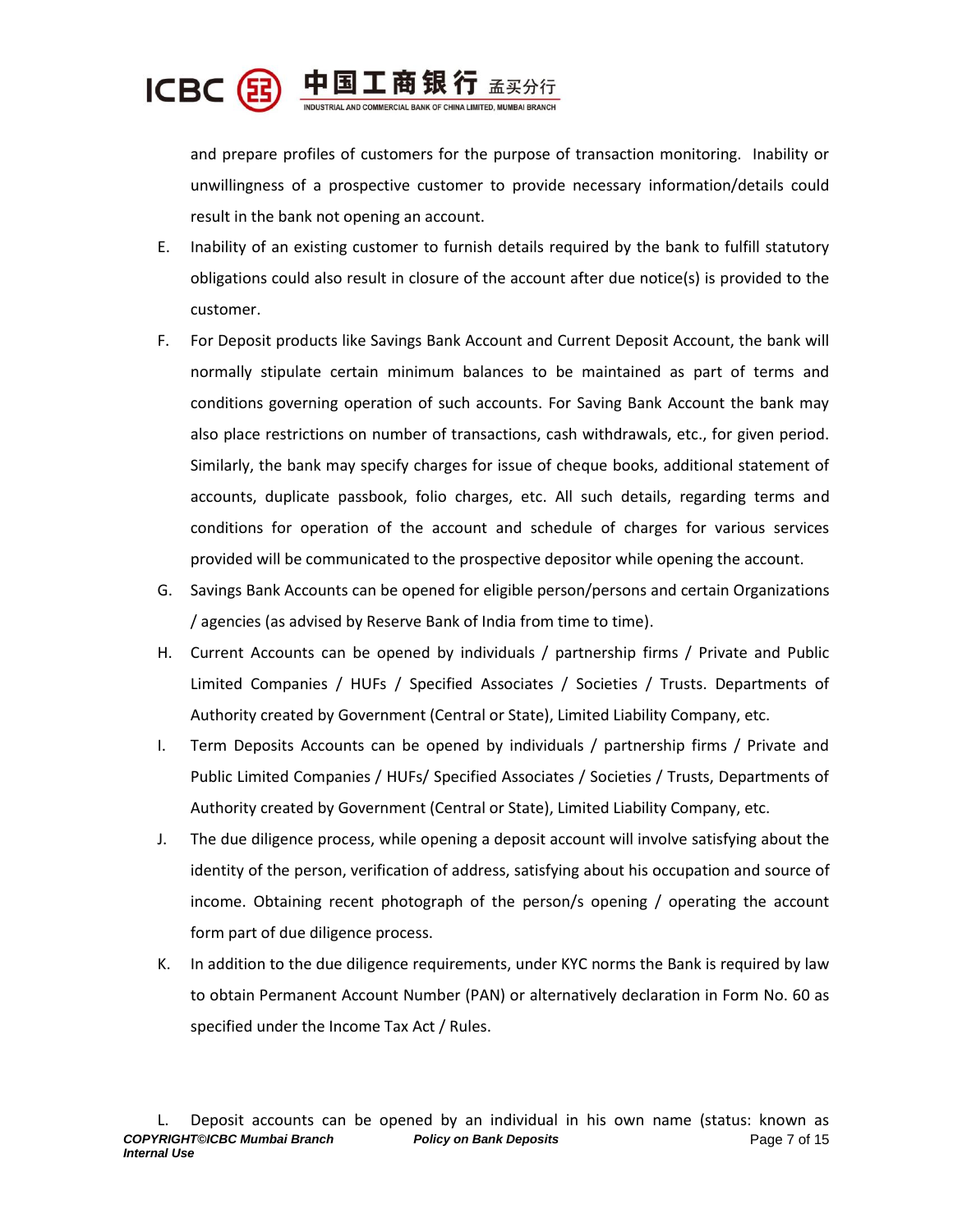

and prepare profiles of customers for the purpose of transaction monitoring. Inability or unwillingness of a prospective customer to provide necessary information/details could result in the bank not opening an account.

- E. Inability of an existing customer to furnish details required by the bank to fulfill statutory obligations could also result in closure of the account after due notice(s) is provided to the customer.
- F. For Deposit products like Savings Bank Account and Current Deposit Account, the bank will normally stipulate certain minimum balances to be maintained as part of terms and conditions governing operation of such accounts. For Saving Bank Account the bank may also place restrictions on number of transactions, cash withdrawals, etc., for given period. Similarly, the bank may specify charges for issue of cheque books, additional statement of accounts, duplicate passbook, folio charges, etc. All such details, regarding terms and conditions for operation of the account and schedule of charges for various services provided will be communicated to the prospective depositor while opening the account.
- G. Savings Bank Accounts can be opened for eligible person/persons and certain Organizations / agencies (as advised by Reserve Bank of India from time to time).
- H. Current Accounts can be opened by individuals / partnership firms / Private and Public Limited Companies / HUFs / Specified Associates / Societies / Trusts. Departments of Authority created by Government (Central or State), Limited Liability Company, etc.
- I. Term Deposits Accounts can be opened by individuals / partnership firms / Private and Public Limited Companies / HUFs/ Specified Associates / Societies / Trusts, Departments of Authority created by Government (Central or State), Limited Liability Company, etc.
- J. The due diligence process, while opening a deposit account will involve satisfying about the identity of the person, verification of address, satisfying about his occupation and source of income. Obtaining recent photograph of the person/s opening / operating the account form part of due diligence process.
- K. In addition to the due diligence requirements, under KYC norms the Bank is required by law to obtain Permanent Account Number (PAN) or alternatively declaration in Form No. 60 as specified under the Income Tax Act / Rules.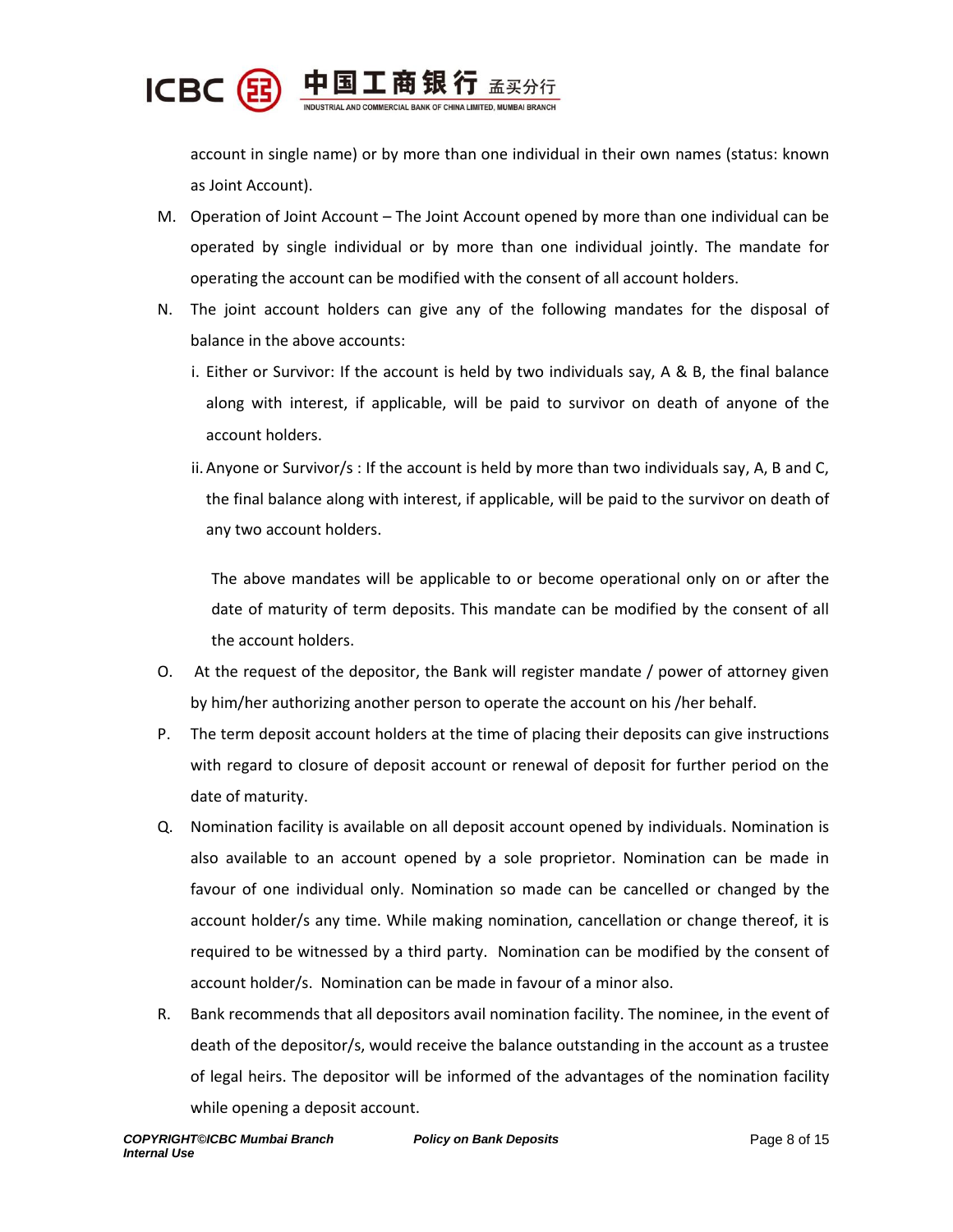

account in single name) or by more than one individual in their own names (status: known as Joint Account).

- M. Operation of Joint Account The Joint Account opened by more than one individual can be operated by single individual or by more than one individual jointly. The mandate for operating the account can be modified with the consent of all account holders.
- N. The joint account holders can give any of the following mandates for the disposal of balance in the above accounts:
	- i. Either or Survivor: If the account is held by two individuals say, A & B, the final balance along with interest, if applicable, will be paid to survivor on death of anyone of the account holders.
	- ii. Anyone or Survivor/s : If the account is held by more than two individuals say, A, B and C, the final balance along with interest, if applicable, will be paid to the survivor on death of any two account holders.

The above mandates will be applicable to or become operational only on or after the date of maturity of term deposits. This mandate can be modified by the consent of all the account holders.

- O. At the request of the depositor, the Bank will register mandate / power of attorney given by him/her authorizing another person to operate the account on his /her behalf.
- P. The term deposit account holders at the time of placing their deposits can give instructions with regard to closure of deposit account or renewal of deposit for further period on the date of maturity.
- Q. Nomination facility is available on all deposit account opened by individuals. Nomination is also available to an account opened by a sole proprietor. Nomination can be made in favour of one individual only. Nomination so made can be cancelled or changed by the account holder/s any time. While making nomination, cancellation or change thereof, it is required to be witnessed by a third party. Nomination can be modified by the consent of account holder/s. Nomination can be made in favour of a minor also.
- R. Bank recommends that all depositors avail nomination facility. The nominee, in the event of death of the depositor/s, would receive the balance outstanding in the account as a trustee of legal heirs. The depositor will be informed of the advantages of the nomination facility while opening a deposit account.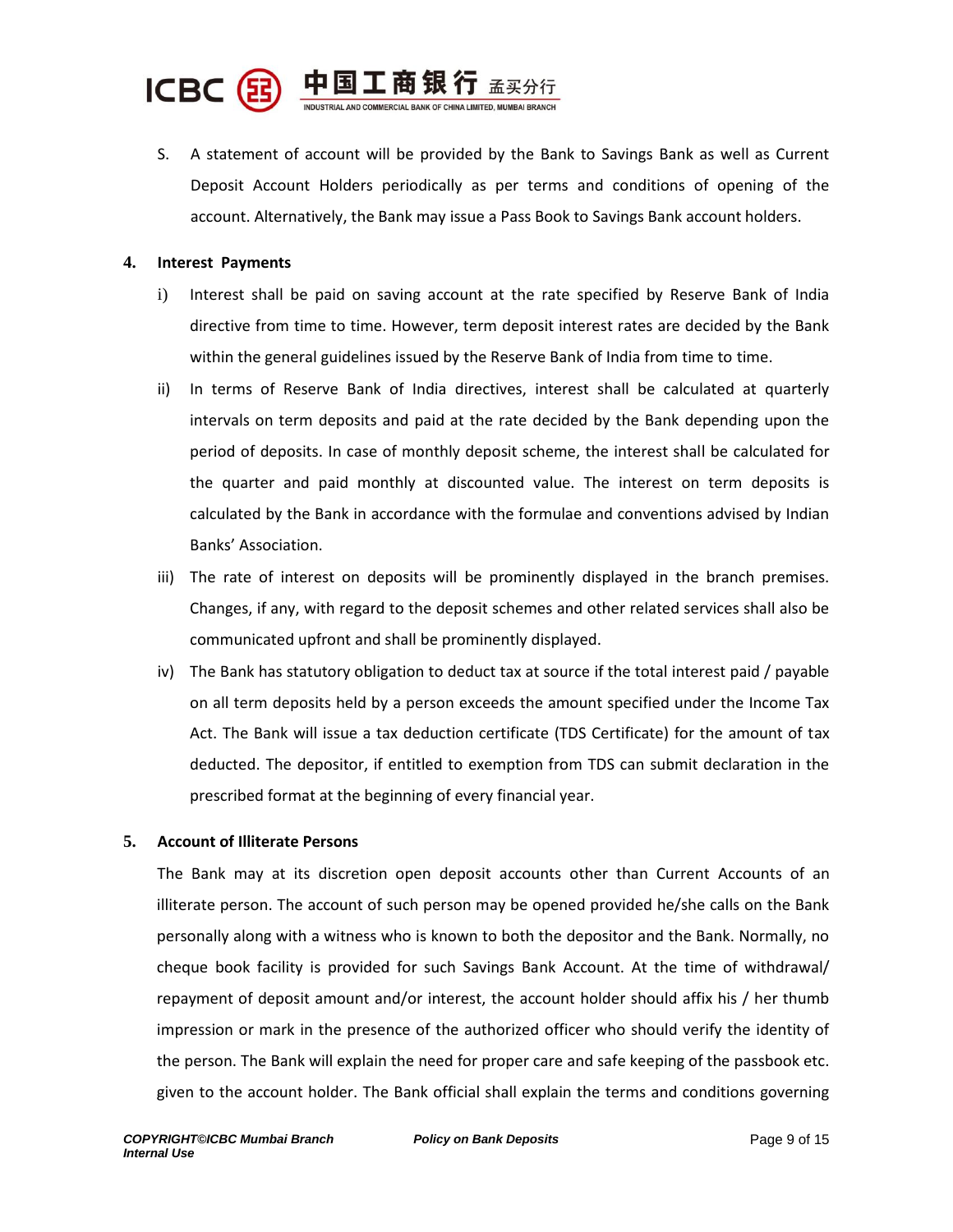

S. A statement of account will be provided by the Bank to Savings Bank as well as Current Deposit Account Holders periodically as per terms and conditions of opening of the account. Alternatively, the Bank may issue a Pass Book to Savings Bank account holders.

# **4. Interest Payments**

- i) Interest shall be paid on saving account at the rate specified by Reserve Bank of India directive from time to time. However, term deposit interest rates are decided by the Bank within the general guidelines issued by the Reserve Bank of India from time to time.
- ii) In terms of Reserve Bank of India directives, interest shall be calculated at quarterly intervals on term deposits and paid at the rate decided by the Bank depending upon the period of deposits. In case of monthly deposit scheme, the interest shall be calculated for the quarter and paid monthly at discounted value. The interest on term deposits is calculated by the Bank in accordance with the formulae and conventions advised by Indian Banks' Association.
- iii) The rate of interest on deposits will be prominently displayed in the branch premises. Changes, if any, with regard to the deposit schemes and other related services shall also be communicated upfront and shall be prominently displayed.
- iv) The Bank has statutory obligation to deduct tax at source if the total interest paid / payable on all term deposits held by a person exceeds the amount specified under the Income Tax Act. The Bank will issue a tax deduction certificate (TDS Certificate) for the amount of tax deducted. The depositor, if entitled to exemption from TDS can submit declaration in the prescribed format at the beginning of every financial year.

# **5. Account of Illiterate Persons**

The Bank may at its discretion open deposit accounts other than Current Accounts of an illiterate person. The account of such person may be opened provided he/she calls on the Bank personally along with a witness who is known to both the depositor and the Bank. Normally, no cheque book facility is provided for such Savings Bank Account. At the time of withdrawal/ repayment of deposit amount and/or interest, the account holder should affix his / her thumb impression or mark in the presence of the authorized officer who should verify the identity of the person. The Bank will explain the need for proper care and safe keeping of the passbook etc. given to the account holder. The Bank official shall explain the terms and conditions governing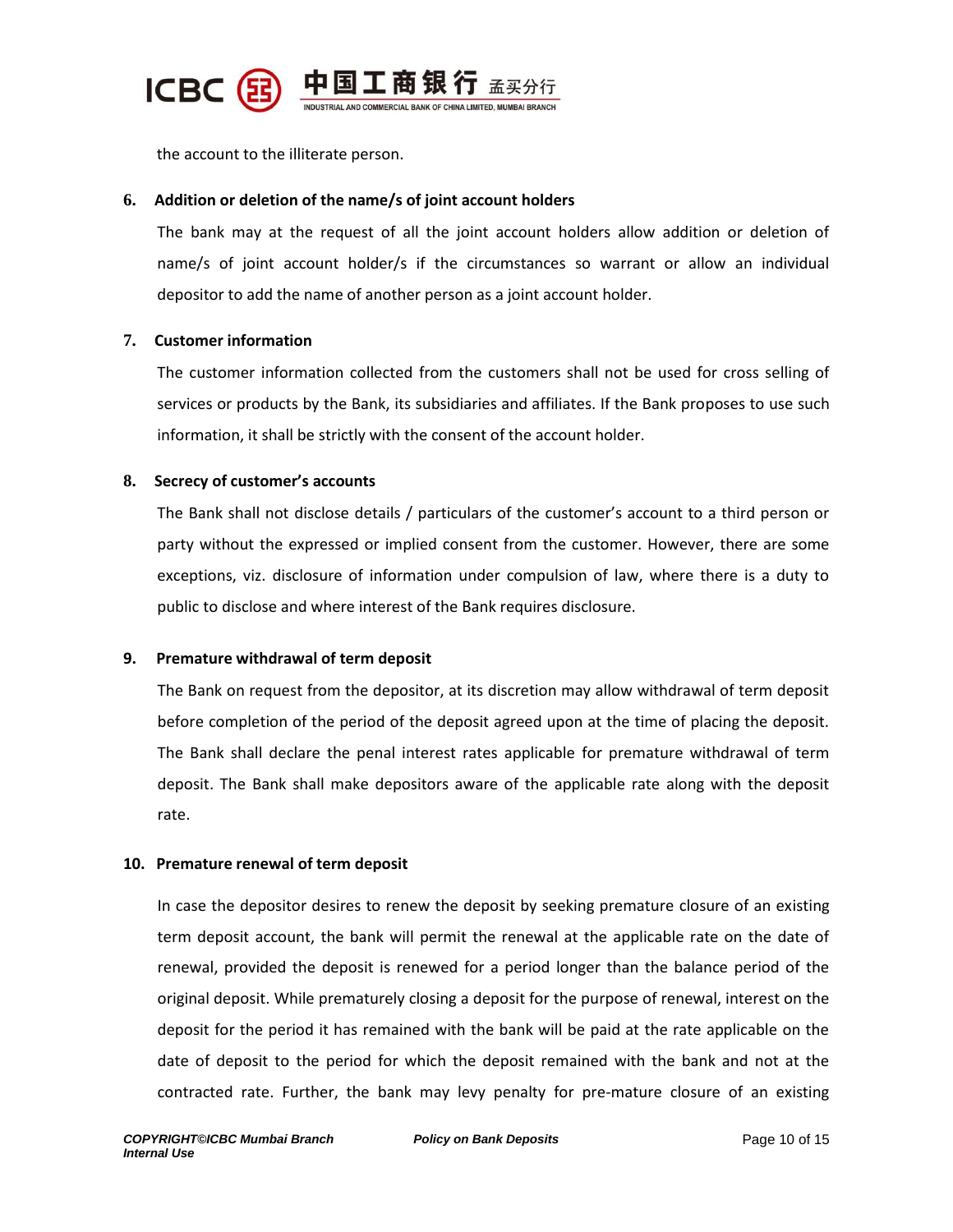

the account to the illiterate person.

# **6. Addition or deletion of the name/s of joint account holders**

The bank may at the request of all the joint account holders allow addition or deletion of name/s of joint account holder/s if the circumstances so warrant or allow an individual depositor to add the name of another person as a joint account holder.

# **7. Customer information**

The customer information collected from the customers shall not be used for cross selling of services or products by the Bank, its subsidiaries and affiliates. If the Bank proposes to use such information, it shall be strictly with the consent of the account holder.

# **8. Secrecy of customer's accounts**

The Bank shall not disclose details / particulars of the customer's account to a third person or party without the expressed or implied consent from the customer. However, there are some exceptions, viz. disclosure of information under compulsion of law, where there is a duty to public to disclose and where interest of the Bank requires disclosure.

# **9. Premature withdrawal of term deposit**

The Bank on request from the depositor, at its discretion may allow withdrawal of term deposit before completion of the period of the deposit agreed upon at the time of placing the deposit. The Bank shall declare the penal interest rates applicable for premature withdrawal of term deposit. The Bank shall make depositors aware of the applicable rate along with the deposit rate.

#### **10. Premature renewal of term deposit**

In case the depositor desires to renew the deposit by seeking premature closure of an existing term deposit account, the bank will permit the renewal at the applicable rate on the date of renewal, provided the deposit is renewed for a period longer than the balance period of the original deposit. While prematurely closing a deposit for the purpose of renewal, interest on the deposit for the period it has remained with the bank will be paid at the rate applicable on the date of deposit to the period for which the deposit remained with the bank and not at the contracted rate. Further, the bank may levy penalty for pre-mature closure of an existing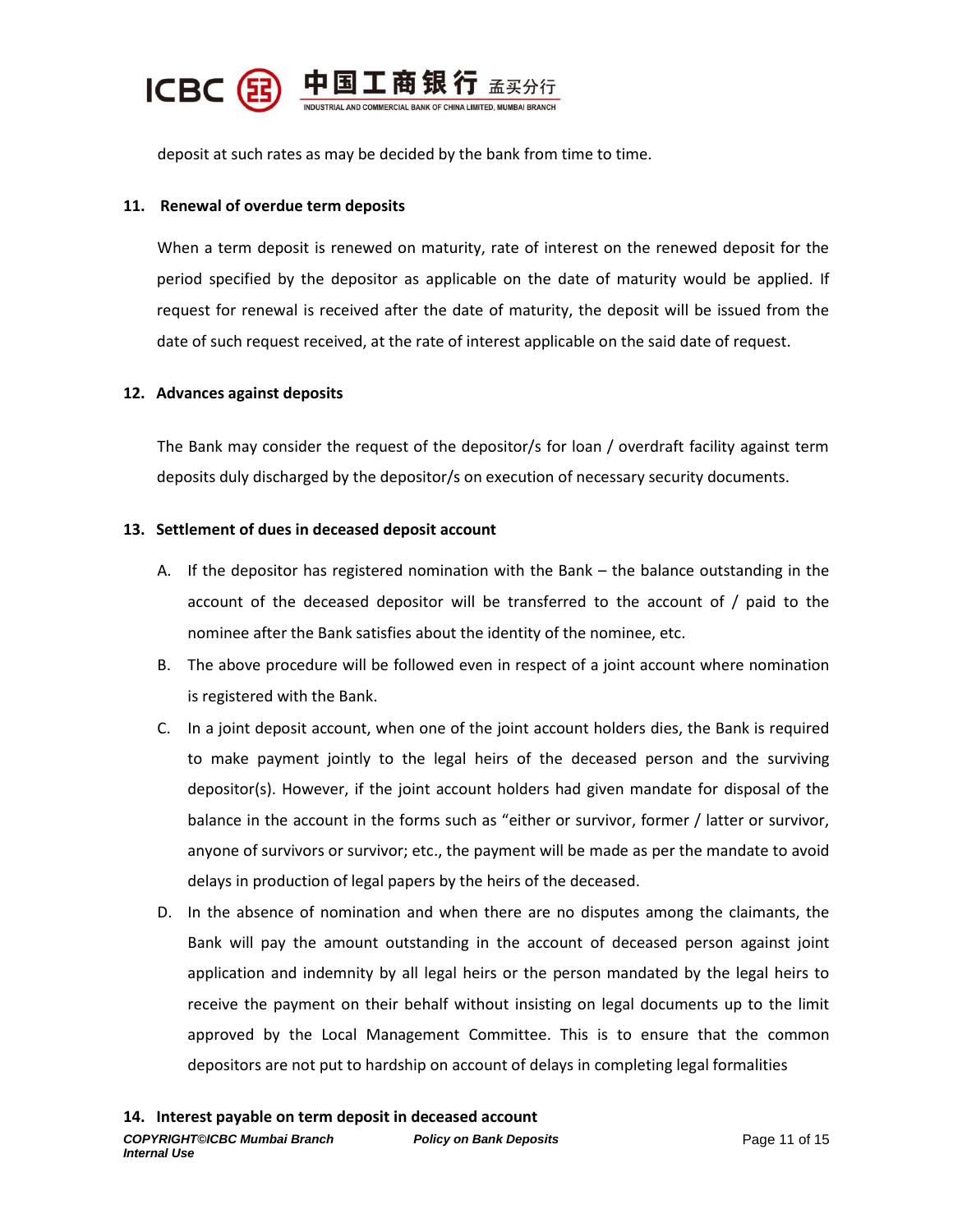

deposit at such rates as may be decided by the bank from time to time.

# **11. Renewal of overdue term deposits**

When a term deposit is renewed on maturity, rate of interest on the renewed deposit for the period specified by the depositor as applicable on the date of maturity would be applied. If request for renewal is received after the date of maturity, the deposit will be issued from the date of such request received, at the rate of interest applicable on the said date of request.

# **12. Advances against deposits**

The Bank may consider the request of the depositor/s for loan / overdraft facility against term deposits duly discharged by the depositor/s on execution of necessary security documents.

#### **13. Settlement of dues in deceased deposit account**

- A. If the depositor has registered nomination with the Bank the balance outstanding in the account of the deceased depositor will be transferred to the account of / paid to the nominee after the Bank satisfies about the identity of the nominee, etc.
- B. The above procedure will be followed even in respect of a joint account where nomination is registered with the Bank.
- C. In a joint deposit account, when one of the joint account holders dies, the Bank is required to make payment jointly to the legal heirs of the deceased person and the surviving depositor(s). However, if the joint account holders had given mandate for disposal of the balance in the account in the forms such as "either or survivor, former / latter or survivor, anyone of survivors or survivor; etc., the payment will be made as per the mandate to avoid delays in production of legal papers by the heirs of the deceased.
- D. In the absence of nomination and when there are no disputes among the claimants, the Bank will pay the amount outstanding in the account of deceased person against joint application and indemnity by all legal heirs or the person mandated by the legal heirs to receive the payment on their behalf without insisting on legal documents up to the limit approved by the Local Management Committee. This is to ensure that the common depositors are not put to hardship on account of delays in completing legal formalities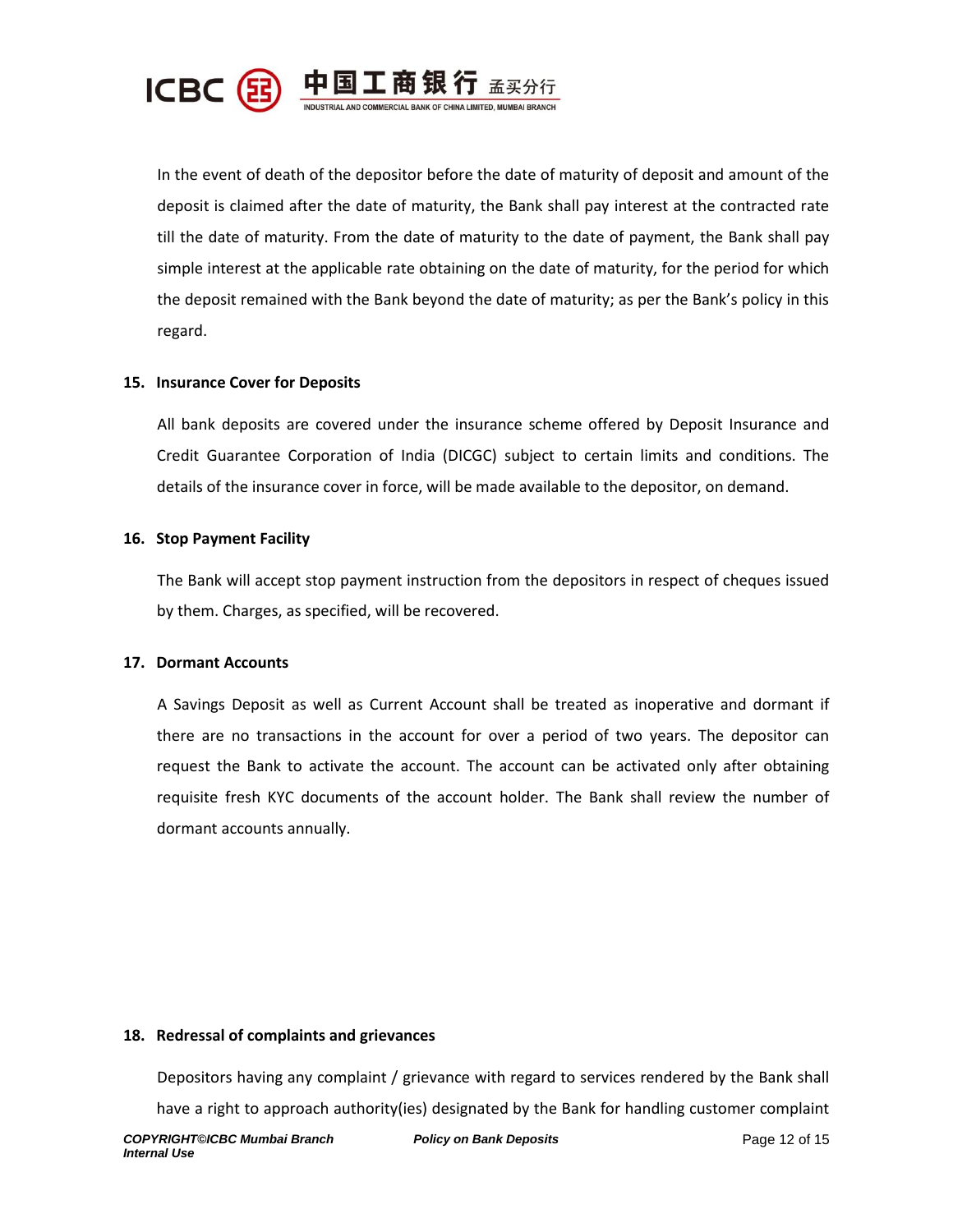

In the event of death of the depositor before the date of maturity of deposit and amount of the deposit is claimed after the date of maturity, the Bank shall pay interest at the contracted rate till the date of maturity. From the date of maturity to the date of payment, the Bank shall pay simple interest at the applicable rate obtaining on the date of maturity, for the period for which the deposit remained with the Bank beyond the date of maturity; as per the Bank's policy in this regard.

# **15. Insurance Cover for Deposits**

All bank deposits are covered under the insurance scheme offered by Deposit Insurance and Credit Guarantee Corporation of India (DICGC) subject to certain limits and conditions. The details of the insurance cover in force, will be made available to the depositor, on demand.

#### **16. Stop Payment Facility**

The Bank will accept stop payment instruction from the depositors in respect of cheques issued by them. Charges, as specified, will be recovered.

# **17. Dormant Accounts**

A Savings Deposit as well as Current Account shall be treated as inoperative and dormant if there are no transactions in the account for over a period of two years. The depositor can request the Bank to activate the account. The account can be activated only after obtaining requisite fresh KYC documents of the account holder. The Bank shall review the number of dormant accounts annually.

#### **18. Redressal of complaints and grievances**

Depositors having any complaint / grievance with regard to services rendered by the Bank shall have a right to approach authority(ies) designated by the Bank for handling customer complaint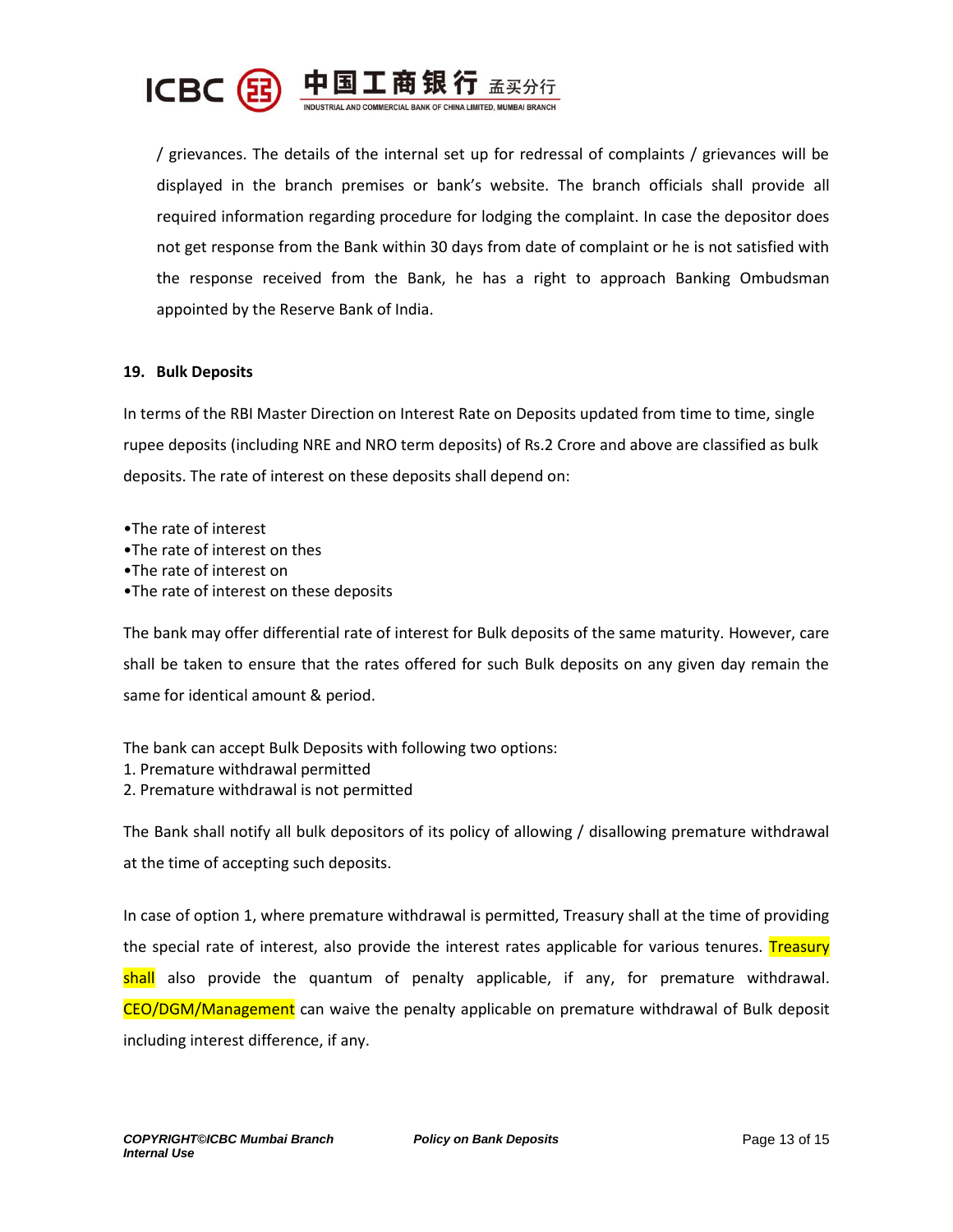

/ grievances. The details of the internal set up for redressal of complaints / grievances will be displayed in the branch premises or bank's website. The branch officials shall provide all required information regarding procedure for lodging the complaint. In case the depositor does not get response from the Bank within 30 days from date of complaint or he is not satisfied with the response received from the Bank, he has a right to approach Banking Ombudsman appointed by the Reserve Bank of India.

# **19. Bulk Deposits**

In terms of the RBI Master Direction on Interest Rate on Deposits updated from time to time, single rupee deposits (including NRE and NRO term deposits) of Rs.2 Crore and above are classified as bulk deposits. The rate of interest on these deposits shall depend on:

•The rate of interest •The rate of interest on thes •The rate of interest on •The rate of interest on these deposits

The bank may offer differential rate of interest for Bulk deposits of the same maturity. However, care shall be taken to ensure that the rates offered for such Bulk deposits on any given day remain the same for identical amount & period.

The bank can accept Bulk Deposits with following two options: 1. Premature withdrawal permitted 2. Premature withdrawal is not permitted

The Bank shall notify all bulk depositors of its policy of allowing / disallowing premature withdrawal at the time of accepting such deposits.

In case of option 1, where premature withdrawal is permitted, Treasury shall at the time of providing the special rate of interest, also provide the interest rates applicable for various tenures. Treasury shall also provide the quantum of penalty applicable, if any, for premature withdrawal. CEO/DGM/Management can waive the penalty applicable on premature withdrawal of Bulk deposit including interest difference, if any.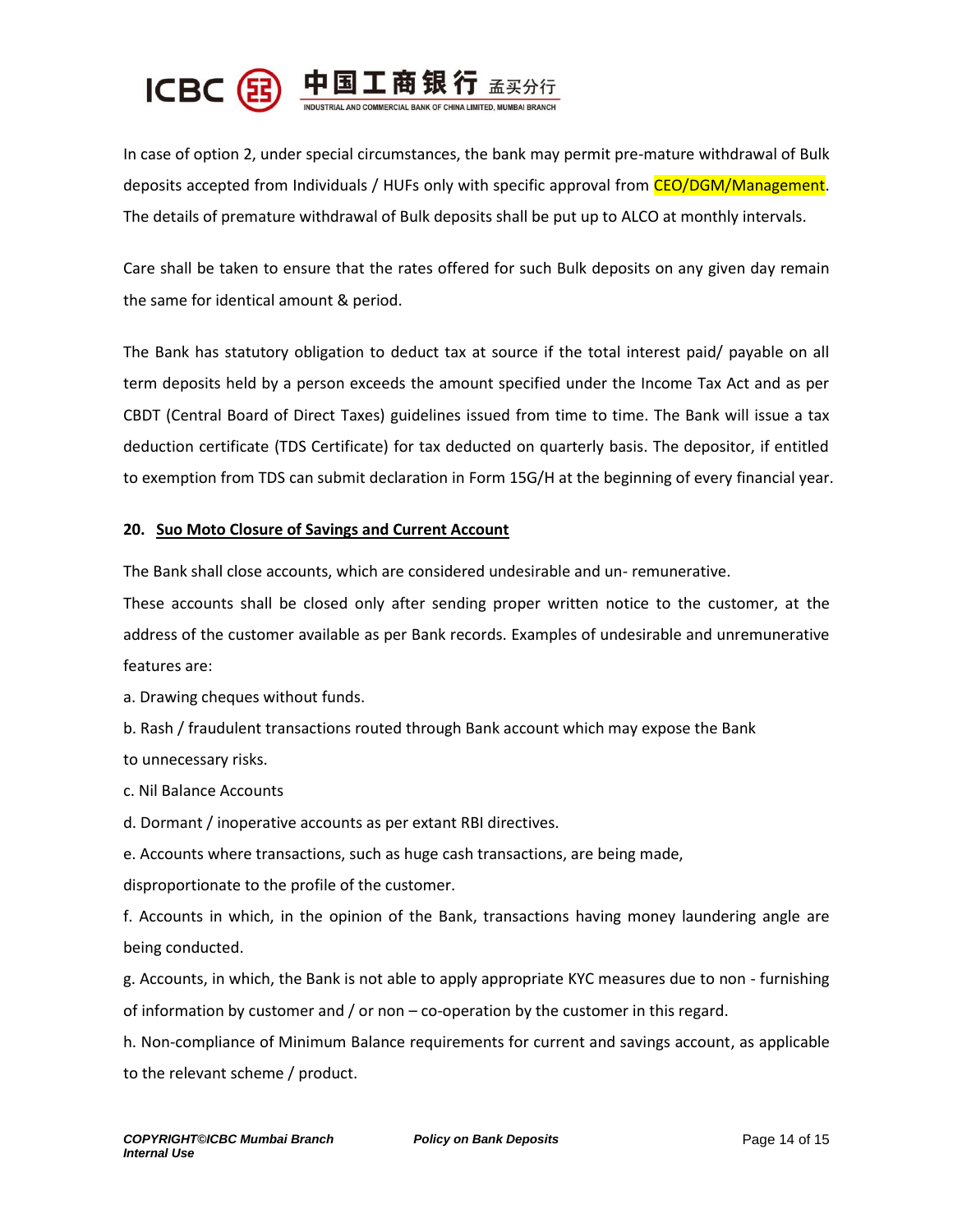

In case of option 2, under special circumstances, the bank may permit pre-mature withdrawal of Bulk deposits accepted from Individuals / HUFs only with specific approval from CEO/DGM/Management. The details of premature withdrawal of Bulk deposits shall be put up to ALCO at monthly intervals.

Care shall be taken to ensure that the rates offered for such Bulk deposits on any given day remain the same for identical amount & period.

The Bank has statutory obligation to deduct tax at source if the total interest paid/ payable on all term deposits held by a person exceeds the amount specified under the Income Tax Act and as per CBDT (Central Board of Direct Taxes) guidelines issued from time to time. The Bank will issue a tax deduction certificate (TDS Certificate) for tax deducted on quarterly basis. The depositor, if entitled to exemption from TDS can submit declaration in Form 15G/H at the beginning of every financial year.

# **20. Suo Moto Closure of Savings and Current Account**

The Bank shall close accounts, which are considered undesirable and un- remunerative.

These accounts shall be closed only after sending proper written notice to the customer, at the address of the customer available as per Bank records. Examples of undesirable and unremunerative features are:

a. Drawing cheques without funds.

b. Rash / fraudulent transactions routed through Bank account which may expose the Bank to unnecessary risks.

c. Nil Balance Accounts

d. Dormant / inoperative accounts as per extant RBI directives.

e. Accounts where transactions, such as huge cash transactions, are being made,

disproportionate to the profile of the customer.

f. Accounts in which, in the opinion of the Bank, transactions having money laundering angle are being conducted.

g. Accounts, in which, the Bank is not able to apply appropriate KYC measures due to non - furnishing of information by customer and / or non – co-operation by the customer in this regard.

h. Non-compliance of Minimum Balance requirements for current and savings account, as applicable to the relevant scheme / product.